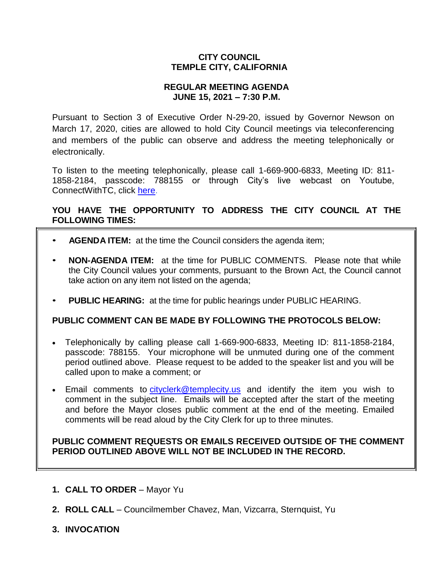### **CITY COUNCIL TEMPLE CITY, CALIFORNIA**

### **REGULAR MEETING AGENDA JUNE 15, 2021 – 7:30 P.M.**

Pursuant to Section 3 of Executive Order N-29-20, issued by Governor Newson on March 17, 2020, cities are allowed to hold City Council meetings via teleconferencing and members of the public can observe and address the meeting telephonically or electronically.

To listen to the meeting telephonically, please call 1-669-900-6833, Meeting ID: 811- 1858-2184, passcode: 788155 or through City's live webcast on Youtube, ConnectWithTC, click [here.](https://www.ci.temple-city.ca.us/516/Meeting-Webcast)

## **YOU HAVE THE OPPORTUNITY TO ADDRESS THE CITY COUNCIL AT THE FOLLOWING TIMES:**

- **AGENDA ITEM:** at the time the Council considers the agenda item;
- **NON-AGENDA ITEM:** at the time for PUBLIC COMMENTS. Please note that while the City Council values your comments, pursuant to the Brown Act, the Council cannot take action on any item not listed on the agenda;
- **PUBLIC HEARING:** at the time for public hearings under PUBLIC HEARING.

### **PUBLIC COMMENT CAN BE MADE BY FOLLOWING THE PROTOCOLS BELOW:**

- Telephonically by calling please call 1-669-900-6833, Meeting ID: 811-1858-2184, passcode: 788155. Your microphone will be unmuted during one of the comment period outlined above. Please request to be added to the speaker list and you will be called upon to make a comment; or
- Email comments to [cityclerk@templecity.us](mailto:cityclerk@templecity.us) and identify the item you wish to comment in the subject line. Emails will be accepted after the start of the meeting and before the Mayor closes public comment at the end of the meeting. Emailed comments will be read aloud by the City Clerk for up to three minutes.

### **PUBLIC COMMENT REQUESTS OR EMAILS RECEIVED OUTSIDE OF THE COMMENT PERIOD OUTLINED ABOVE WILL NOT BE INCLUDED IN THE RECORD.**

- **1. CALL TO ORDER**  Mayor Yu
- **2. ROLL CALL**  Councilmember Chavez, Man, Vizcarra, Sternquist, Yu
- **3. INVOCATION**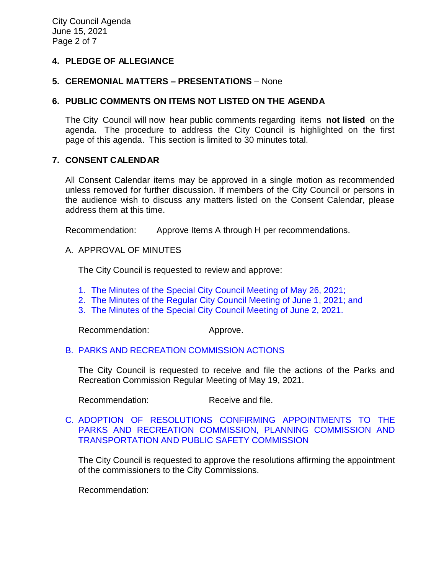### **4. PLEDGE OF ALLEGIANCE**

#### **5. CEREMONIAL MATTERS – PRESENTATIONS** – None

#### **6. PUBLIC COMMENTS ON ITEMS NOT LISTED ON THE AGENDA**

The City Council will now hear public comments regarding items **not listed** on the agenda. The procedure to address the City Council is highlighted on the first page of this agenda. This section is limited to 30 minutes total.

### **7. CONSENT CALENDAR**

All Consent Calendar items may be approved in a single motion as recommended unless removed for further discussion. If members of the City Council or persons in the audience wish to discuss any matters listed on the Consent Calendar, please address them at this time.

Recommendation: Approve Items A through H per recommendations.

A. APPROVAL OF MINUTES

The City Council is requested to review and approve:

- 1. [The Minutes of the Special City Council Meeting of May 26, 2021;](https://www.ci.temple-city.ca.us/DocumentCenter/View/16368/7A-1_CCM---2021-05-26-Sheriffs-Monthly)
- 2. The [Minutes of the Regular City Council Meeting of June 1, 2021; and](https://www.ci.temple-city.ca.us/DocumentCenter/View/16369/7A-2_CCM---2021-06-01)
- 3. [The Minutes of the Special City Council Meeting of June 2, 2021.](https://www.ci.temple-city.ca.us/DocumentCenter/View/16370/7A-3_CCM---2021-06-02-Budget-Study-Session)

Recommendation: Approve.

#### B. [PARKS AND RECREATION](https://www.ci.temple-city.ca.us/DocumentCenter/View/16359/7B_PRC-Regular-Meeting-Actions_Staff-Report-2021-15-6) COMMISSION ACTIONS

The City Council is requested to receive and file the actions of the Parks and Recreation Commission Regular Meeting of May 19, 2021.

Recommendation: Receive and file.

C. [ADOPTION OF RESOLUTIONS CONFIRMING APPOINTMENTS TO THE](https://www.ci.temple-city.ca.us/DocumentCenter/View/16360/7C_Confirmation-of-Commission-Appointments_Staff-Report)  [PARKS AND RECREATION COMMISSION, PLANNING COMMISSION AND](https://www.ci.temple-city.ca.us/DocumentCenter/View/16360/7C_Confirmation-of-Commission-Appointments_Staff-Report)  [TRANSPORTATION AND PUBLIC SAFETY COMMISSION](https://www.ci.temple-city.ca.us/DocumentCenter/View/16360/7C_Confirmation-of-Commission-Appointments_Staff-Report)

The City Council is requested to approve the resolutions affirming the appointment of the commissioners to the City Commissions.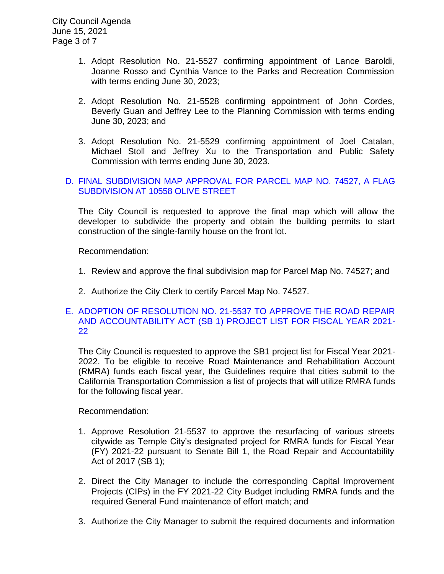- 1. Adopt Resolution No. 21-5527 confirming appointment of Lance Baroldi, Joanne Rosso and Cynthia Vance to the Parks and Recreation Commission with terms ending June 30, 2023;
- 2. Adopt Resolution No. 21-5528 confirming appointment of John Cordes, Beverly Guan and Jeffrey Lee to the Planning Commission with terms ending June 30, 2023; and
- 3. Adopt Resolution No. 21-5529 confirming appointment of Joel Catalan, Michael Stoll and Jeffrey Xu to the Transportation and Public Safety Commission with terms ending June 30, 2023.

### D. [FINAL SUBDIVISION MAP APPROVAL FOR PARCEL MAP NO. 74527, A FLAG](https://www.ci.temple-city.ca.us/DocumentCenter/View/16361/7D_Final-Map-74527---10558-Olive-St_Staff-Report)  [SUBDIVISION AT 10558 OLIVE STREET](https://www.ci.temple-city.ca.us/DocumentCenter/View/16361/7D_Final-Map-74527---10558-Olive-St_Staff-Report)

The City Council is requested to approve the final map which will allow the developer to subdivide the property and obtain the building permits to start construction of the single-family house on the front lot.

Recommendation:

- 1. Review and approve the final subdivision map for Parcel Map No. 74527; and
- 2. Authorize the City Clerk to certify Parcel Map No. 74527.
- E. ADOPTION [OF RESOLUTION NO. 21-5537 TO APPROVE THE ROAD REPAIR](https://www.ci.temple-city.ca.us/DocumentCenter/View/16362/7E_Approval-of-SB1-Streets-FY-21-22_Staff-Report)  [AND ACCOUNTABILITY ACT \(SB 1\) PROJECT LIST FOR FISCAL YEAR 2021-](https://www.ci.temple-city.ca.us/DocumentCenter/View/16362/7E_Approval-of-SB1-Streets-FY-21-22_Staff-Report) [22](https://www.ci.temple-city.ca.us/DocumentCenter/View/16362/7E_Approval-of-SB1-Streets-FY-21-22_Staff-Report)

The City Council is requested to approve the SB1 project list for Fiscal Year 2021- 2022. To be eligible to receive Road Maintenance and Rehabilitation Account (RMRA) funds each fiscal year, the Guidelines require that cities submit to the California Transportation Commission a list of projects that will utilize RMRA funds for the following fiscal year.

- 1. Approve Resolution 21-5537 to approve the resurfacing of various streets citywide as Temple City's designated project for RMRA funds for Fiscal Year (FY) 2021-22 pursuant to Senate Bill 1, the Road Repair and Accountability Act of 2017 (SB 1);
- 2. Direct the City Manager to include the corresponding Capital Improvement Projects (CIPs) in the FY 2021-22 City Budget including RMRA funds and the required General Fund maintenance of effort match; and
- 3. Authorize the City Manager to submit the required documents and information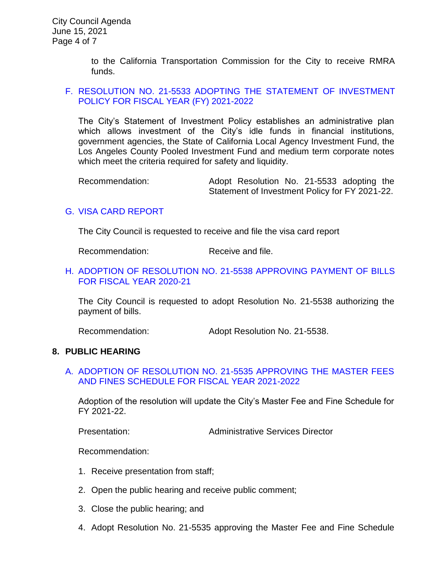to the California Transportation Commission for the City to receive RMRA funds.

### F. RESOLUTION NO. 21-5533 [ADOPTING THE STATEMENT OF INVESTMENT](https://www.ci.temple-city.ca.us/DocumentCenter/View/16363/7F_Investment-Policy-2122_Staff-Report)  [POLICY FOR FISCAL YEAR \(FY\) 2021-2022](https://www.ci.temple-city.ca.us/DocumentCenter/View/16363/7F_Investment-Policy-2122_Staff-Report)

The City's Statement of Investment Policy establishes an administrative plan which allows investment of the City's idle funds in financial institutions, government agencies, the State of California Local Agency Investment Fund, the Los Angeles County Pooled Investment Fund and medium term corporate notes which meet the criteria required for safety and liquidity.

## G. [VISA CARD REPORT](https://www.ci.temple-city.ca.us/DocumentCenter/View/16364/7G_Visa-Card-Report)

The City Council is requested to receive and file the visa card report

Recommendation: Receive and file.

#### H. [ADOPTION OF RESOLUTION NO. 21-5538](https://www.ci.temple-city.ca.us/DocumentCenter/View/16365/7H_CC-Warrant_Reso-No-21-5538-061521---Warrants--Demands-FY-2020-2021) APPROVING PAYMENT OF BILLS [FOR FISCAL YEAR 2020-21](https://www.ci.temple-city.ca.us/DocumentCenter/View/16365/7H_CC-Warrant_Reso-No-21-5538-061521---Warrants--Demands-FY-2020-2021)

The City Council is requested to adopt Resolution No. 21-5538 authorizing the payment of bills.

Recommendation: Adopt Resolution No. 21-5538.

### **8. PUBLIC HEARING**

#### A. [ADOPTION OF RESOLUTION NO. 21-5535 APPROVING THE MASTER FEES](https://www.ci.temple-city.ca.us/DocumentCenter/View/16366/8A_Master-Fee-and-Fine-Schedule_Staff-Report---Fees-FY2122)  [AND FINES SCHEDULE FOR FISCAL YEAR 2021-2022](https://www.ci.temple-city.ca.us/DocumentCenter/View/16366/8A_Master-Fee-and-Fine-Schedule_Staff-Report---Fees-FY2122)

Adoption of the resolution will update the City's Master Fee and Fine Schedule for FY 2021-22.

Presentation: Administrative Services Director

- 1. Receive presentation from staff;
- 2. Open the public hearing and receive public comment;
- 3. Close the public hearing; and
- 4. Adopt Resolution No. 21-5535 approving the Master Fee and Fine Schedule

Recommendation: Adopt Resolution No. 21-5533 adopting the Statement of Investment Policy for FY 2021-22.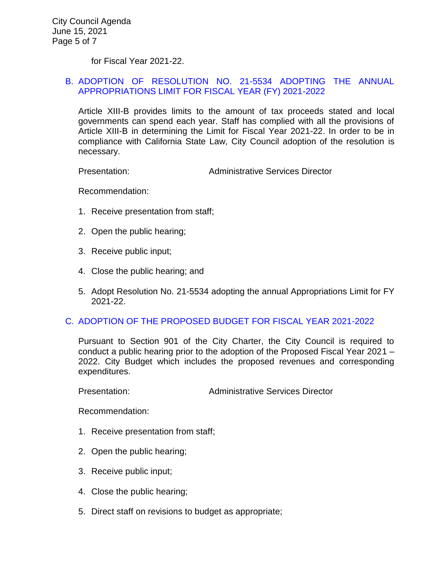for Fiscal Year 2021-22.

#### B. [ADOPTION OF RESOLUTION NO. 21-5534 ADOPTING THE ANNUAL](https://www.ci.temple-city.ca.us/DocumentCenter/View/16367/8B_Appropriations-Limit_Staff-Report)  [APPROPRIATIONS LIMIT FOR FISCAL YEAR \(FY\) 2021-2022](https://www.ci.temple-city.ca.us/DocumentCenter/View/16367/8B_Appropriations-Limit_Staff-Report)

Article XIII-B provides limits to the amount of tax proceeds stated and local governments can spend each year. Staff has complied with all the provisions of Article XIII-B in determining the Limit for Fiscal Year 2021-22. In order to be in compliance with California State Law, City Council adoption of the resolution is necessary.

Presentation: Administrative Services Director

Recommendation:

- 1. Receive presentation from staff;
- 2. Open the public hearing;
- 3. Receive public input;
- 4. Close the public hearing; and
- 5. Adopt Resolution No. 21-5534 adopting the annual Appropriations Limit for FY 2021-22.

### C. [ADOPTION OF THE PROPOSED BUDGET FOR FISCAL YEAR 2021-2022](https://www.ci.temple-city.ca.us/DocumentCenter/View/16374/14-8C_Budget-Adoption_Staff-Report)

Pursuant to Section 901 of the City Charter, the City Council is required to conduct a public hearing prior to the adoption of the Proposed Fiscal Year 2021 – 2022. City Budget which includes the proposed revenues and corresponding expenditures.

Presentation: Administrative Services Director

- 1. Receive presentation from staff;
- 2. Open the public hearing;
- 3. Receive public input;
- 4. Close the public hearing;
- 5. Direct staff on revisions to budget as appropriate;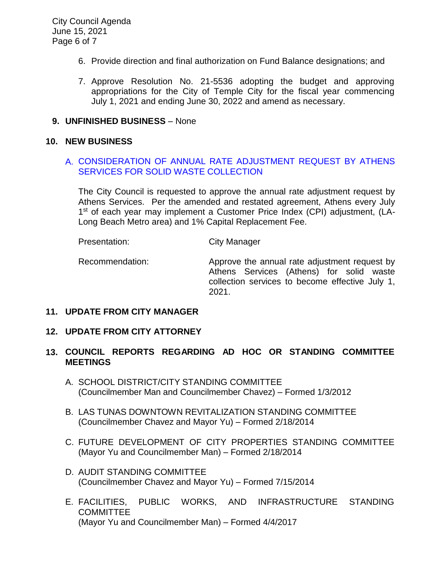- 6. Provide direction and final authorization on Fund Balance designations; and
- 7. Approve Resolution No. 21-5536 adopting the budget and approving appropriations for the City of Temple City for the fiscal year commencing July 1, 2021 and ending June 30, 2022 and amend as necessary.

### **9. UNFINISHED BUSINESS** – None

### **10. NEW BUSINESS**

## A. CONSIDERATION [OF ANNUAL RATE ADJUSTMENT REQUEST BY ATHENS](https://www.ci.temple-city.ca.us/DocumentCenter/View/16371/10A_Athens-Rate-Increase_Staff-Report)  [SERVICES FOR SOLID WASTE COLLECTION](https://www.ci.temple-city.ca.us/DocumentCenter/View/16371/10A_Athens-Rate-Increase_Staff-Report)

The City Council is requested to approve the annual rate adjustment request by Athens Services. Per the amended and restated agreement, Athens every July 1<sup>st</sup> of each year may implement a Customer Price Index (CPI) adjustment, (LA-Long Beach Metro area) and 1% Capital Replacement Fee.

Presentation: City Manager

Recommendation: Approve the annual rate adjustment request by Athens Services (Athens) for solid waste collection services to become effective July 1, 2021.

### **11. UPDATE FROM CITY MANAGER**

### **12. UPDATE FROM CITY ATTORNEY**

### **13. COUNCIL REPORTS REGARDING AD HOC OR STANDING COMMITTEE MEETINGS**

- A. SCHOOL DISTRICT/CITY STANDING COMMITTEE (Councilmember Man and Councilmember Chavez) – Formed 1/3/2012
- B. LAS TUNAS DOWNTOWN REVITALIZATION STANDING COMMITTEE (Councilmember Chavez and Mayor Yu) – Formed 2/18/2014
- C. FUTURE DEVELOPMENT OF CITY PROPERTIES STANDING COMMITTEE (Mayor Yu and Councilmember Man) – Formed 2/18/2014
- D. AUDIT STANDING COMMITTEE (Councilmember Chavez and Mayor Yu) – Formed 7/15/2014
- E. FACILITIES, PUBLIC WORKS, AND INFRASTRUCTURE STANDING **COMMITTEE** (Mayor Yu and Councilmember Man) – Formed 4/4/2017